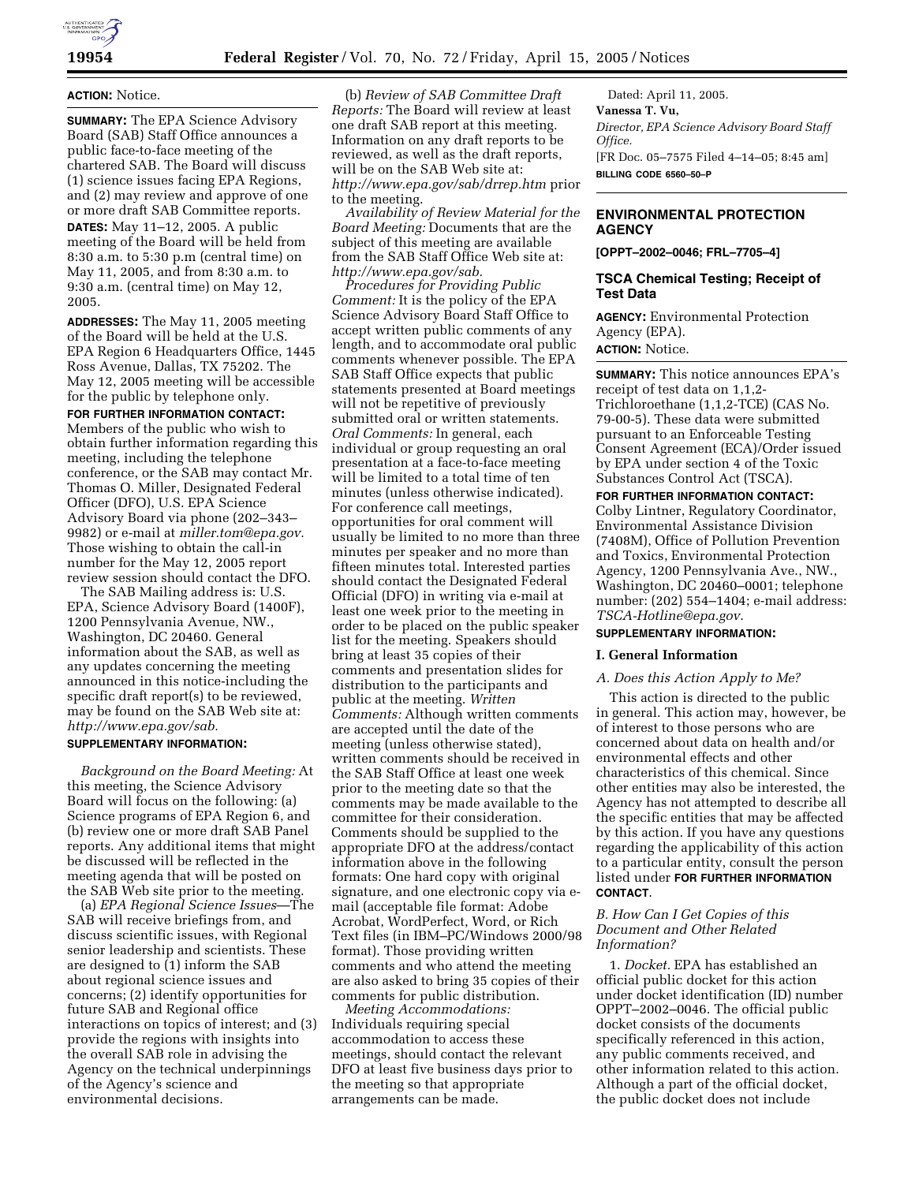

# **ACTION:** Notice.

**SUMMARY:** The EPA Science Advisory Board (SAB) Staff Office announces a public face-to-face meeting of the chartered SAB. The Board will discuss (1) science issues facing EPA Regions, and (2) may review and approve of one or more draft SAB Committee reports. **DATES:** May 11–12, 2005. A public meeting of the Board will be held from 8:30 a.m. to 5:30 p.m (central time) on May 11, 2005, and from 8:30 a.m. to 9:30 a.m. (central time) on May 12, 2005.

**ADDRESSES:** The May 11, 2005 meeting of the Board will be held at the U.S. EPA Region 6 Headquarters Office, 1445 Ross Avenue, Dallas, TX 75202. The May 12, 2005 meeting will be accessible for the public by telephone only.

**FOR FURTHER INFORMATION CONTACT:** Members of the public who wish to obtain further information regarding this meeting, including the telephone conference, or the SAB may contact Mr. Thomas O. Miller, Designated Federal Officer (DFO), U.S. EPA Science Advisory Board via phone (202–343– 9982) or e-mail at *miller.tom@epa.gov.* Those wishing to obtain the call-in number for the May 12, 2005 report review session should contact the DFO.

The SAB Mailing address is: U.S. EPA, Science Advisory Board (1400F), 1200 Pennsylvania Avenue, NW., Washington, DC 20460. General information about the SAB, as well as any updates concerning the meeting announced in this notice-including the specific draft report(s) to be reviewed, may be found on the SAB Web site at: *http://www.epa.gov/sab.*

## **SUPPLEMENTARY INFORMATION:**

*Background on the Board Meeting:* At this meeting, the Science Advisory Board will focus on the following: (a) Science programs of EPA Region 6, and (b) review one or more draft SAB Panel reports. Any additional items that might be discussed will be reflected in the meeting agenda that will be posted on the SAB Web site prior to the meeting.

(a) *EPA Regional Science Issues*—The SAB will receive briefings from, and discuss scientific issues, with Regional senior leadership and scientists. These are designed to (1) inform the SAB about regional science issues and concerns; (2) identify opportunities for future SAB and Regional office interactions on topics of interest; and (3) provide the regions with insights into the overall SAB role in advising the Agency on the technical underpinnings of the Agency's science and environmental decisions.

(b) *Review of SAB Committee Draft Reports:* The Board will review at least one draft SAB report at this meeting. Information on any draft reports to be reviewed, as well as the draft reports, will be on the SAB Web site at: *http://www.epa.gov/sab/drrep.htm* prior to the meeting.

*Availability of Review Material for the Board Meeting:* Documents that are the subject of this meeting are available from the SAB Staff Office Web site at: *http://www.epa.gov/sab.*

*Procedures for Providing Public Comment:* It is the policy of the EPA Science Advisory Board Staff Office to accept written public comments of any length, and to accommodate oral public comments whenever possible. The EPA SAB Staff Office expects that public statements presented at Board meetings will not be repetitive of previously submitted oral or written statements. *Oral Comments:* In general, each individual or group requesting an oral presentation at a face-to-face meeting will be limited to a total time of ten minutes (unless otherwise indicated). For conference call meetings, opportunities for oral comment will usually be limited to no more than three minutes per speaker and no more than fifteen minutes total. Interested parties should contact the Designated Federal Official (DFO) in writing via e-mail at least one week prior to the meeting in order to be placed on the public speaker list for the meeting. Speakers should bring at least 35 copies of their comments and presentation slides for distribution to the participants and public at the meeting. *Written Comments:* Although written comments are accepted until the date of the meeting (unless otherwise stated), written comments should be received in the SAB Staff Office at least one week prior to the meeting date so that the comments may be made available to the committee for their consideration. Comments should be supplied to the appropriate DFO at the address/contact information above in the following formats: One hard copy with original signature, and one electronic copy via email (acceptable file format: Adobe Acrobat, WordPerfect, Word, or Rich Text files (in IBM–PC/Windows 2000/98 format). Those providing written comments and who attend the meeting are also asked to bring 35 copies of their comments for public distribution.

*Meeting Accommodations:* Individuals requiring special accommodation to access these meetings, should contact the relevant DFO at least five business days prior to the meeting so that appropriate arrangements can be made.

Dated: April 11, 2005. **Vanessa T. Vu,**  *Director, EPA Science Advisory Board Staff Office.* [FR Doc. 05–7575 Filed 4–14–05; 8:45 am] **BILLING CODE 6560–50–P**

# **ENVIRONMENTAL PROTECTION AGENCY**

**[OPPT–2002–0046; FRL–7705–4]**

## **TSCA Chemical Testing; Receipt of Test Data**

**AGENCY:** Environmental Protection Agency (EPA).

**ACTION:** Notice.

**SUMMARY:** This notice announces EPA's receipt of test data on 1,1,2- Trichloroethane (1,1,2-TCE) (CAS No. 79-00-5). These data were submitted pursuant to an Enforceable Testing Consent Agreement (ECA)/Order issued by EPA under section 4 of the Toxic Substances Control Act (TSCA).

# **FOR FURTHER INFORMATION CONTACT:** Colby Lintner, Regulatory Coordinator, Environmental Assistance Division (7408M), Office of Pollution Prevention and Toxics, Environmental Protection Agency, 1200 Pennsylvania Ave., NW., Washington, DC 20460–0001; telephone number: (202) 554–1404; e-mail address: *TSCA-Hotline@epa.gov*.

# **SUPPLEMENTARY INFORMATION:**

### **I. General Information**

#### *A. Does this Action Apply to Me?*

This action is directed to the public in general. This action may, however, be of interest to those persons who are concerned about data on health and/or environmental effects and other characteristics of this chemical. Since other entities may also be interested, the Agency has not attempted to describe all the specific entities that may be affected by this action. If you have any questions regarding the applicability of this action to a particular entity, consult the person listed under **FOR FURTHER INFORMATION CONTACT**.

### *B. How Can I Get Copies of this Document and Other Related Information?*

1. *Docket.* EPA has established an official public docket for this action under docket identification (ID) number OPPT–2002–0046. The official public docket consists of the documents specifically referenced in this action, any public comments received, and other information related to this action. Although a part of the official docket, the public docket does not include